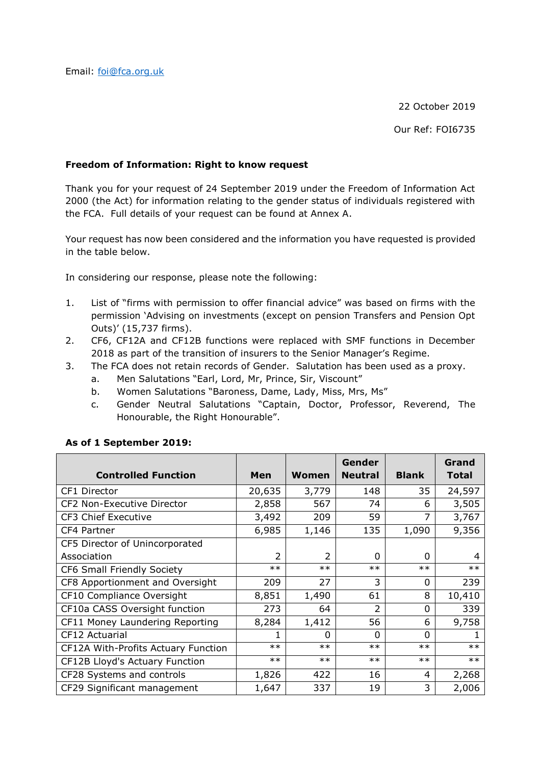Email: [foi@fca.org.uk](mailto:foi@fca.org.uk)

22 October 2019

Our Ref: FOI6735

# **Freedom of Information: Right to know request**

Thank you for your request of 24 September 2019 under the Freedom of Information Act 2000 (the Act) for information relating to the gender status of individuals registered with the FCA. Full details of your request can be found at Annex A.

Your request has now been considered and the information you have requested is provided in the table below.

In considering our response, please note the following:

- 1. List of "firms with permission to offer financial advice" was based on firms with the permission 'Advising on investments (except on pension Transfers and Pension Opt Outs)' (15,737 firms).
- 2. CF6, CF12A and CF12B functions were replaced with SMF functions in December 2018 as part of the transition of insurers to the Senior Manager's Regime.
- 3. The FCA does not retain records of Gender. Salutation has been used as a proxy.
	- a. Men Salutations "Earl, Lord, Mr, Prince, Sir, Viscount"
	- b. Women Salutations "Baroness, Dame, Lady, Miss, Mrs, Ms"
	- c. Gender Neutral Salutations "Captain, Doctor, Professor, Reverend, The Honourable, the Right Honourable".

| <b>Controlled Function</b>          | Men    | <b>Women</b> | Gender         | <b>Blank</b> | Grand  |
|-------------------------------------|--------|--------------|----------------|--------------|--------|
|                                     |        |              | <b>Neutral</b> |              | Total  |
| CF1 Director                        | 20,635 | 3,779        | 148            | 35           | 24,597 |
| CF2 Non-Executive Director          | 2,858  | 567          | 74             | 6            | 3,505  |
| CF3 Chief Executive                 | 3,492  | 209          | 59             | 7            | 3,767  |
| CF4 Partner                         | 6,985  | 1,146        | 135            | 1,090        | 9,356  |
| CF5 Director of Unincorporated      |        |              |                |              |        |
| Association                         | 2      | 2            | 0              | 0            | 4      |
| CF6 Small Friendly Society          | $***$  | $**$         | $**$           | $**$         | $***$  |
| CF8 Apportionment and Oversight     | 209    | 27           | 3              | $\Omega$     | 239    |
| CF10 Compliance Oversight           | 8,851  | 1,490        | 61             | 8            | 10,410 |
| CF10a CASS Oversight function       | 273    | 64           | 2              | $\Omega$     | 339    |
| CF11 Money Laundering Reporting     | 8,284  | 1,412        | 56             | 6            | 9,758  |
| CF12 Actuarial                      |        | O            | $\Omega$       | $\Omega$     |        |
| CF12A With-Profits Actuary Function | $***$  | $**$         | $**$           | $**$         | $**$   |
| CF12B Lloyd's Actuary Function      | $***$  | $**$         | $***$          | $**$         | $***$  |
| CF28 Systems and controls           | 1,826  | 422          | 16             | 4            | 2,268  |
| CF29 Significant management         | 1,647  | 337          | 19             | 3            | 2,006  |

# **As of 1 September 2019:**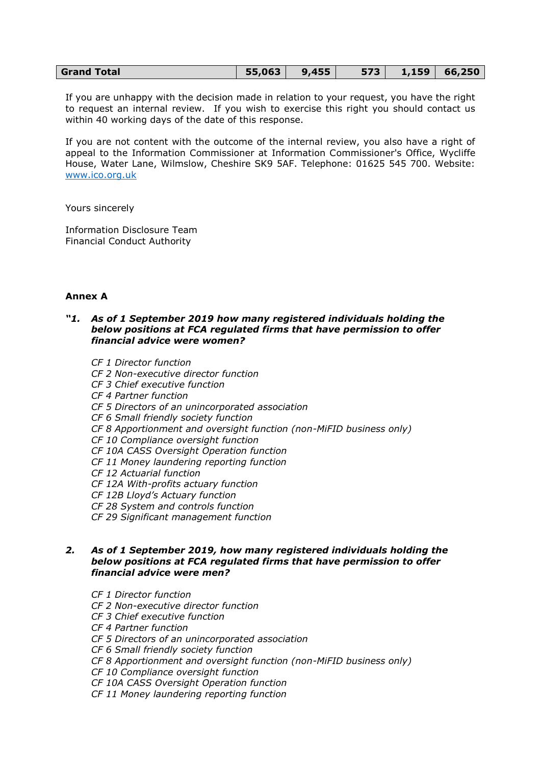| $55,063$ 9,455 573 1,159 66,250<br><b>Grand Total</b> |
|-------------------------------------------------------|
|-------------------------------------------------------|

If you are unhappy with the decision made in relation to your request, you have the right to request an internal review. If you wish to exercise this right you should contact us within 40 working days of the date of this response.

If you are not content with the outcome of the internal review, you also have a right of appeal to the Information Commissioner at Information Commissioner's Office, Wycliffe House, Water Lane, Wilmslow, Cheshire SK9 5AF. Telephone: 01625 545 700. Website: [www.ico.org.uk](http://www.ico.org.uk/)

Yours sincerely

Information Disclosure Team Financial Conduct Authority

## **Annex A**

#### *"1. As of 1 September 2019 how many registered individuals holding the below positions at FCA regulated firms that have permission to offer financial advice were women?*

*CF 1 Director function CF 2 Non-executive director function CF 3 Chief executive function CF 4 Partner function CF 5 Directors of an unincorporated association CF 6 Small friendly society function CF 8 Apportionment and oversight function (non-MiFID business only) CF 10 Compliance oversight function CF 10A CASS Oversight Operation function CF 11 Money laundering reporting function CF 12 Actuarial function CF 12A With-profits actuary function CF 12B Lloyd's Actuary function CF 28 System and controls function CF 29 Significant management function*

### *2. As of 1 September 2019, how many registered individuals holding the below positions at FCA regulated firms that have permission to offer financial advice were men?*

- *CF 1 Director function*
- *CF 2 Non-executive director function*
- *CF 3 Chief executive function*
- *CF 4 Partner function*
- *CF 5 Directors of an unincorporated association*
- *CF 6 Small friendly society function*
- *CF 8 Apportionment and oversight function (non-MiFID business only)*
- *CF 10 Compliance oversight function*
- *CF 10A CASS Oversight Operation function*
- *CF 11 Money laundering reporting function*